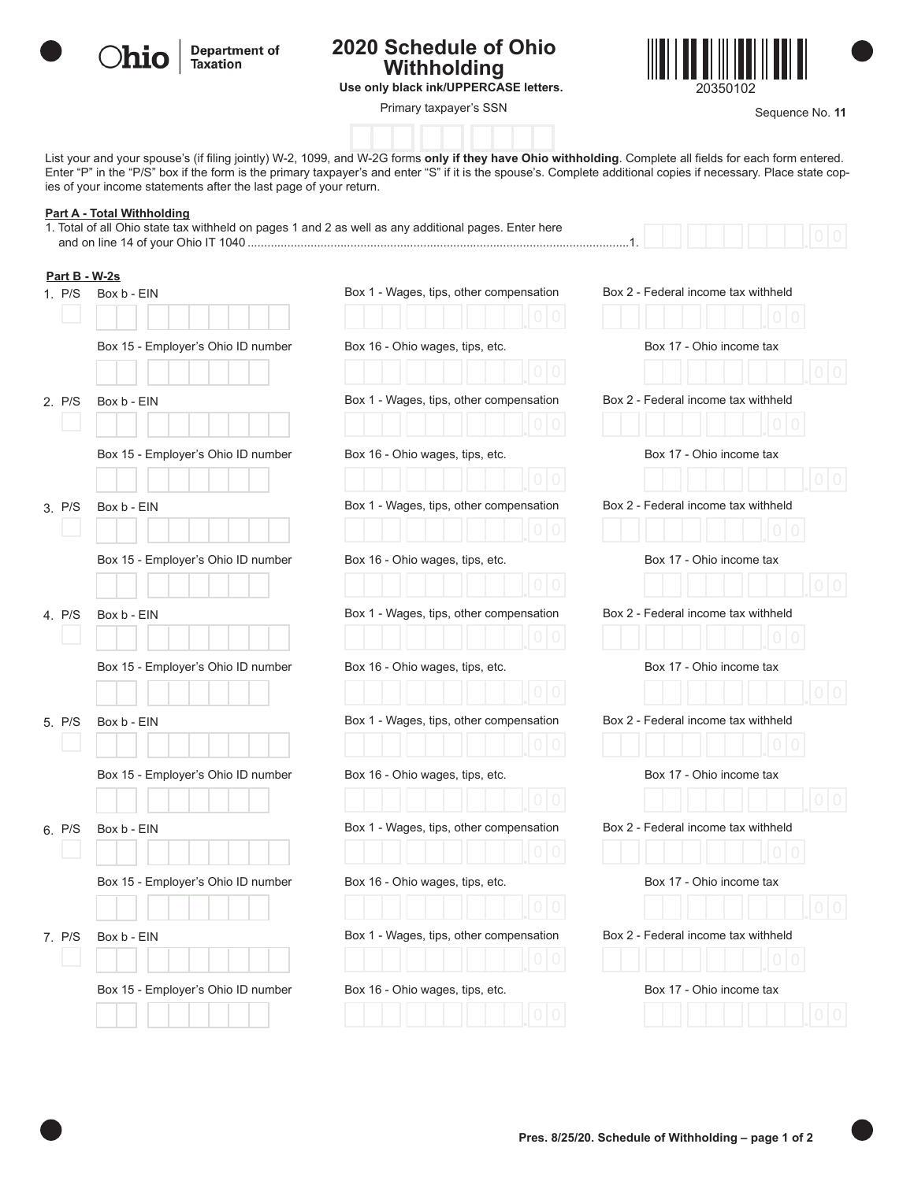

**Department of Taxation** 

## **2020 Schedule of Ohio Withholding**



**Use only black ink/UPPERCASE letters.** 20350102

**Primary taxpayer's SSN Example 20 All 20 All 20 All 20 All 20 All 20 All 20 All 20 All 20 All 20 All 20 All 20 All 20 All 20 All 20 All 20 All 20 All 20 All 20 All 20 All 20 All 20 All 20 All 20 All 20 All 20 All 20 All** 

List your and your spouse's (if filing jointly) W-2, 1099, and W-2G forms **only if they have Ohio withholding**. Complete all fields for each form entered. Enter "P" in the "P/S" box if the form is the primary taxpayer's and enter "S" if it is the spouse's. Complete additional copies if necessary. Place state copies of your income statements after the last page of your return.

## **Part A - Total Withholding**

**Part B - W-2s**

1. Total of all Ohio state tax withheld on pages 1 and 2 as well as any additional pages. Enter here and on line 14 of your Ohio IT 1040 ...................................................................................................................1.

| . 1 . |  |  |  |  |
|-------|--|--|--|--|

|        | Box 15 - Employer's Ohio ID number | Box 16 - Ohio wages, tips, etc.                                                                                                                                                                   | Box 17 - Ohio income tax                                                                                                                                                                                                                                                  |
|--------|------------------------------------|---------------------------------------------------------------------------------------------------------------------------------------------------------------------------------------------------|---------------------------------------------------------------------------------------------------------------------------------------------------------------------------------------------------------------------------------------------------------------------------|
|        |                                    |                                                                                                                                                                                                   |                                                                                                                                                                                                                                                                           |
|        |                                    |                                                                                                                                                                                                   | Box 2 - Federal income tax withheld                                                                                                                                                                                                                                       |
|        |                                    |                                                                                                                                                                                                   | Box 17 - Ohio income tax                                                                                                                                                                                                                                                  |
|        |                                    |                                                                                                                                                                                                   |                                                                                                                                                                                                                                                                           |
| 3. P/S | Box b - EIN                        | Box 1 - Wages, tips, other compensation                                                                                                                                                           | Box 2 - Federal income tax withheld                                                                                                                                                                                                                                       |
|        |                                    |                                                                                                                                                                                                   |                                                                                                                                                                                                                                                                           |
|        | Box 15 - Employer's Ohio ID number | Box 16 - Ohio wages, tips, etc.                                                                                                                                                                   | Box 17 - Ohio income tax                                                                                                                                                                                                                                                  |
|        |                                    |                                                                                                                                                                                                   |                                                                                                                                                                                                                                                                           |
| 4. P/S | Box b - EIN                        | Box 1 - Wages, tips, other compensation                                                                                                                                                           | Box 2 - Federal income tax withheld                                                                                                                                                                                                                                       |
|        |                                    |                                                                                                                                                                                                   |                                                                                                                                                                                                                                                                           |
|        |                                    |                                                                                                                                                                                                   | Box 17 - Ohio income tax                                                                                                                                                                                                                                                  |
|        |                                    |                                                                                                                                                                                                   | Box 2 - Federal income tax withheld                                                                                                                                                                                                                                       |
|        |                                    |                                                                                                                                                                                                   |                                                                                                                                                                                                                                                                           |
|        | Box 15 - Employer's Ohio ID number | Box 16 - Ohio wages, tips, etc.                                                                                                                                                                   | Box 17 - Ohio income tax                                                                                                                                                                                                                                                  |
|        |                                    |                                                                                                                                                                                                   |                                                                                                                                                                                                                                                                           |
| 6. P/S | Box b - EIN                        | Box 1 - Wages, tips, other compensation                                                                                                                                                           | Box 2 - Federal income tax withheld                                                                                                                                                                                                                                       |
|        |                                    |                                                                                                                                                                                                   |                                                                                                                                                                                                                                                                           |
|        |                                    |                                                                                                                                                                                                   | Box 17 - Ohio income tax                                                                                                                                                                                                                                                  |
|        |                                    |                                                                                                                                                                                                   |                                                                                                                                                                                                                                                                           |
|        |                                    |                                                                                                                                                                                                   | Box 2 - Federal income tax withheld                                                                                                                                                                                                                                       |
|        |                                    |                                                                                                                                                                                                   | Box 17 - Ohio income tax                                                                                                                                                                                                                                                  |
|        |                                    |                                                                                                                                                                                                   |                                                                                                                                                                                                                                                                           |
|        | 2. P/S<br>5. P/S<br>7. P/S         | Box b - EIN<br>Box 15 - Employer's Ohio ID number<br>Box 15 - Employer's Ohio ID number<br>Box b - EIN<br>Box 15 - Employer's Ohio ID number<br>Box b - EIN<br>Box 15 - Employer's Ohio ID number | Box 1 - Wages, tips, other compensation<br>Box 16 - Ohio wages, tips, etc.<br>Box 16 - Ohio wages, tips, etc.<br>Box 1 - Wages, tips, other compensation<br>Box 16 - Ohio wages, tips, etc.<br>Box 1 - Wages, tips, other compensation<br>Box 16 - Ohio wages, tips, etc. |